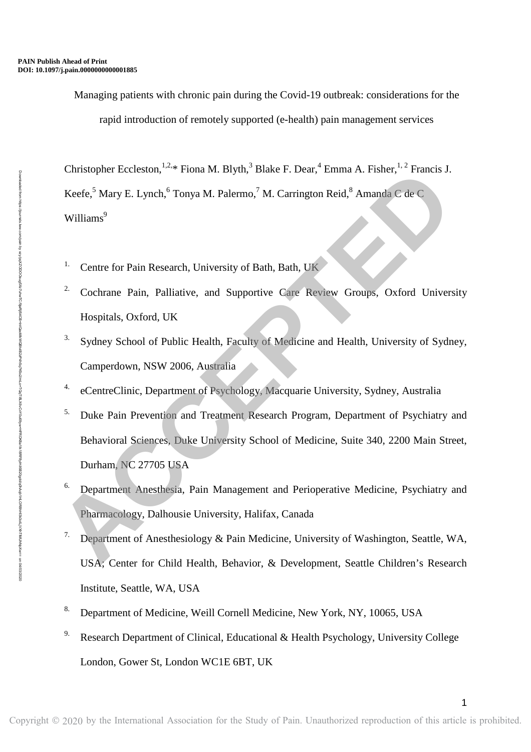Managing patients with chronic pain during the Covid-19 outbreak: considerations for the rapid introduction of remotely supported (e-health) pain management services

Christopher Eccleston,  $1,2,*$  Fiona M. Blyth,  $3$  Blake F. Dear,  $4$  Emma A. Fisher,  $1,2$  Francis J. Keefe,<sup>5</sup> Mary E. Lynch,<sup>6</sup> Tonya M. Palermo,<sup>7</sup> M. Carrington Reid,<sup>8</sup> Amanda C de C Williams<sup>9</sup>

- <sup>1.</sup> Centre for Pain Research, University of Bath, Bath, UK
- <sup>2.</sup> Cochrane Pain, Palliative, and Supportive Care Review Groups, Oxford University Hospitals, Oxford, UK
- <sup>3.</sup> Sydney School of Public Health, Faculty of Medicine and Health, University of Sydney, Camperdown, NSW 2006, Australia
- 4. eCentreClinic, Department of Psychology, Macquarie University, Sydney, Australia
- 5. Duke Pain Prevention and Treatment Research Program, Department of Psychiatry and Behavioral Sciences, Duke University School of Medicine, Suite 340, 2200 Main Street, Durham, NC 27705 USA Christopher Eccleston,<sup>12</sup><sup>-48</sup> Fiona M. Blyth,<sup>2</sup> Blake F. Dear,<sup>1</sup> Emma A. Fisher,<sup>12</sup> Francis J.<br>
Reefe,<sup>5</sup> Mary E. Lynch,<sup>6</sup> Tonya M. Palermo,<sup>7</sup> M. Carrington Reid,<sup>8</sup> Amand<sub>9</sub> C de C<br>
Williams<sup>8</sup><br>
Centre for Pain Res
	- <sup>6.</sup> Department Anesthesia, Pain Management and Perioperative Medicine, Psychiatry and Pharmacology, Dalhousie University, Halifax, Canada
	- <sup>7.</sup> Department of Anesthesiology & Pain Medicine, University of Washington, Seattle, WA, USA; Center for Child Health, Behavior, & Development, Seattle Children's Research Institute, Seattle, WA, USA
	- 8. Department of Medicine, Weill Cornell Medicine, New York, NY, 10065, USA
	- <sup>9.</sup> Research Department of Clinical, Educational & Health Psychology, University College London, Gower St, London WC1E 6BT, UK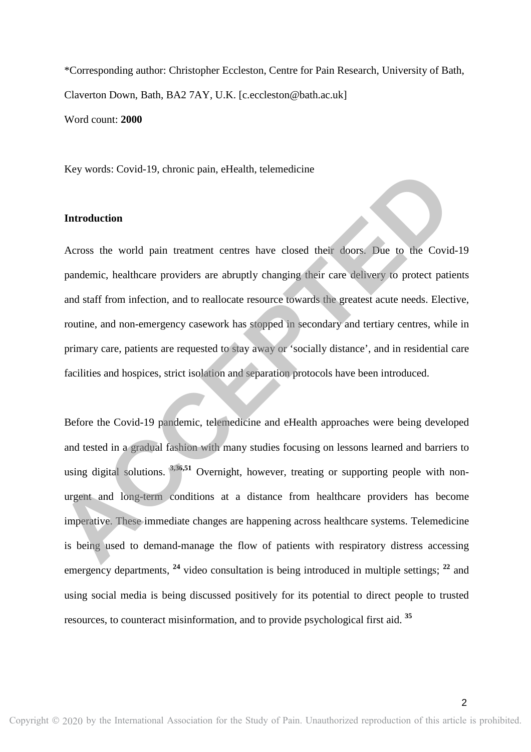\*Corresponding author: Christopher Eccleston, Centre for Pain Research, University of Bath, Claverton Down, Bath, BA2 7AY, U.K. [c.eccleston@bath.ac.uk] Word count: **2000** 

Key words: Covid-19, chronic pain, eHealth, telemedicine

#### **Introduction**

Across the world pain treatment centres have closed their doors. Due to the Covid-19 pandemic, healthcare providers are abruptly changing their care delivery to protect patients and staff from infection, and to reallocate resource towards the greatest acute needs. Elective, routine, and non-emergency casework has stopped in secondary and tertiary centres, while in primary care, patients are requested to stay away or 'socially distance', and in residential care facilities and hospices, strict isolation and separation protocols have been introduced.

Before the Covid-19 pandemic, telemedicine and eHealth approaches were being developed and tested in a gradual fashion with many studies focusing on lessons learned and barriers to using digital solutions. <sup>3,36,51</sup> Overnight, however, treating or supporting people with nonurgent and long-term conditions at a distance from healthcare providers has become imperative. These immediate changes are happening across healthcare systems. Telemedicine is being used to demand-manage the flow of patients with respiratory distress accessing emergency departments, <sup>24</sup> video consultation is being introduced in multiple settings; <sup>22</sup> and using social media is being discussed positively for its potential to direct people to trusted resources, to counteract misinformation, and to provide psychological first aid. **<sup>35</sup>** Key words: Covid-19, chronic pain, eHealth, telemedicine<br> **Access** the world pain treatment centres have closed their doors. Due to the Covid-19<br>
pandemic, healthcare providers are abruptly changing their care delivery to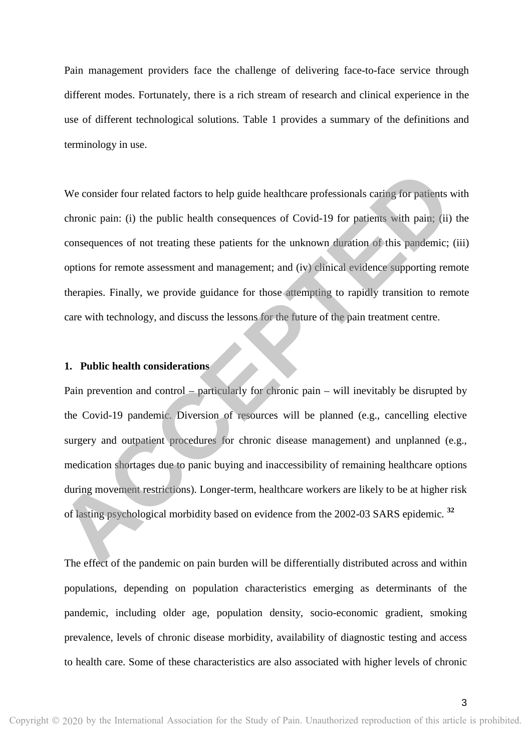Pain management providers face the challenge of delivering face-to-face service through different modes. Fortunately, there is a rich stream of research and clinical experience in the use of different technological solutions. Table 1 provides a summary of the definitions and terminology in use.

We consider four related factors to help guide healthcare professionals caring for patients with chronic pain: (i) the public health consequences of Covid-19 for patients with pain; (ii) the consequences of not treating these patients for the unknown duration of this pandemic; (iii) options for remote assessment and management; and (iv) clinical evidence supporting remote therapies. Finally, we provide guidance for those attempting to rapidly transition to remote care with technology, and discuss the lessons for the future of the pain treatment centre. We consider four related factors to help guide healthcare professionals caring for patients with<br>chronic pain: (i) the public health consequences of Covid-19 for patients with pain; (ii) the<br>consequences of not treating t

## **1. Public health considerations**

Pain prevention and control – particularly for chronic pain – will inevitably be disrupted by the Covid-19 pandemic. Diversion of resources will be planned (e.g., cancelling elective surgery and outpatient procedures for chronic disease management) and unplanned (e.g., medication shortages due to panic buying and inaccessibility of remaining healthcare options during movement restrictions). Longer-term, healthcare workers are likely to be at higher risk of lasting psychological morbidity based on evidence from the 2002-03 SARS epidemic*.*  **32**

The effect of the pandemic on pain burden will be differentially distributed across and within populations, depending on population characteristics emerging as determinants of the pandemic, including older age, population density, socio-economic gradient, smoking prevalence, levels of chronic disease morbidity, availability of diagnostic testing and access to health care. Some of these characteristics are also associated with higher levels of chronic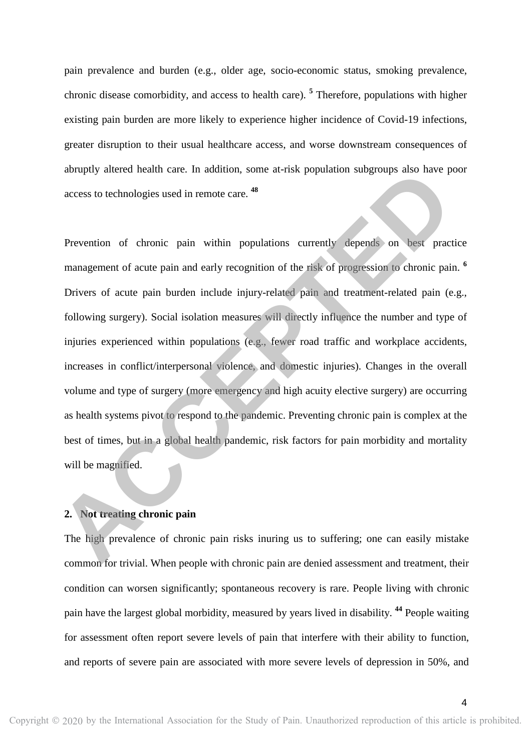pain prevalence and burden (e.g., older age, socio-economic status, smoking prevalence, chronic disease comorbidity, and access to health care). **<sup>5</sup>** Therefore, populations with higher existing pain burden are more likely to experience higher incidence of Covid-19 infections, greater disruption to their usual healthcare access, and worse downstream consequences of abruptly altered health care. In addition, some at-risk population subgroups also have poor access to technologies used in remote care. **<sup>48</sup>**

Prevention of chronic pain within populations currently depends on best practice management of acute pain and early recognition of the risk of progression to chronic pain. <sup>6</sup> Drivers of acute pain burden include injury-related pain and treatment-related pain (e.g., following surgery). Social isolation measures will directly influence the number and type of injuries experienced within populations (e.g., fewer road traffic and workplace accidents, increases in conflict/interpersonal violence, and domestic injuries). Changes in the overall volume and type of surgery (more emergency and high acuity elective surgery) are occurring as health systems pivot to respond to the pandemic. Preventing chronic pain is complex at the best of times, but in a global health pandemic, risk factors for pain morbidity and mortality will be magnified. abruptly altered health care. In addition, some at-risk population subgroups also have poor<br>access to technologies used in remote care, <sup>48</sup><br>Prevention of chronic pain within populations currently depends on best practice<br>

## **2. Not treating chronic pain**

The high prevalence of chronic pain risks inuring us to suffering; one can easily mistake common for trivial. When people with chronic pain are denied assessment and treatment, their condition can worsen significantly; spontaneous recovery is rare. People living with chronic pain have the largest global morbidity, measured by years lived in disability. **<sup>44</sup>** People waiting for assessment often report severe levels of pain that interfere with their ability to function, and reports of severe pain are associated with more severe levels of depression in 50%, and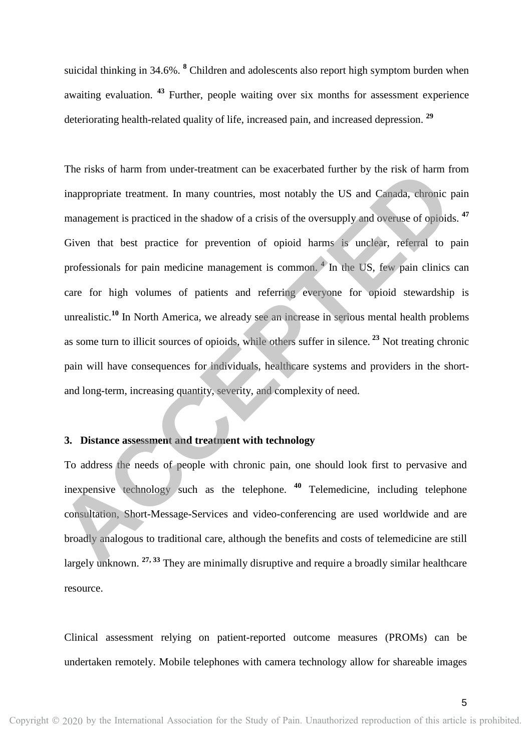suicidal thinking in 34.6%. **<sup>8</sup>** Children and adolescents also report high symptom burden when awaiting evaluation. **<sup>43</sup>** Further, people waiting over six months for assessment experience deteriorating health-related quality of life, increased pain, and increased depression. **<sup>29</sup>**

The risks of harm from under-treatment can be exacerbated further by the risk of harm from inappropriate treatment. In many countries, most notably the US and Canada, chronic pain management is practiced in the shadow of a crisis of the oversupply and overuse of opioids. **<sup>47</sup>** Given that best practice for prevention of opioid harms is unclear, referral to pain professionals for pain medicine management is common. **<sup>4</sup>** In the US, few pain clinics can care for high volumes of patients and referring everyone for opioid stewardship is unrealistic.<sup>10</sup> In North America, we already see an increase in serious mental health problems as some turn to illicit sources of opioids, while others suffer in silence.**<sup>23</sup>** Not treating chronic pain will have consequences for individuals, healthcare systems and providers in the shortand long-term, increasing quantity, severity, and complexity of need. The risks of harm from under-treatment can be exacerbated further by the risk of harm from<br>inappropriate treatment. In many countries, most notably the US and Canada, chronic pain<br>management is practiced in the shadow of

### **3. Distance assessment and treatment with technology**

To address the needs of people with chronic pain, one should look first to pervasive and inexpensive technology such as the telephone. **<sup>40</sup>** Telemedicine, including telephone consultation, Short-Message-Services and video-conferencing are used worldwide and are broadly analogous to traditional care, although the benefits and costs of telemedicine are still largely unknown. **27, 33** They are minimally disruptive and require a broadly similar healthcare resource.

Clinical assessment relying on patient-reported outcome measures (PROMs) can be undertaken remotely. Mobile telephones with camera technology allow for shareable images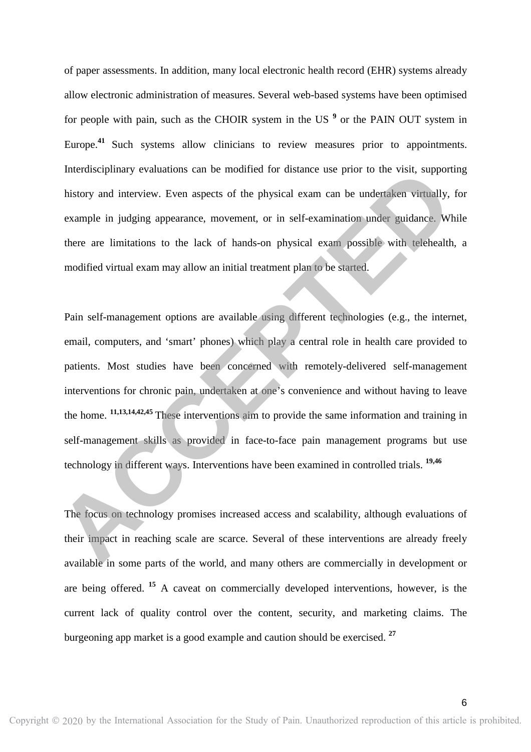of paper assessments. In addition, many local electronic health record (EHR) systems already allow electronic administration of measures. Several web-based systems have been optimised for people with pain, such as the CHOIR system in the US<sup>9</sup> or the PAIN OUT system in Europe.<sup>41</sup> Such systems allow clinicians to review measures prior to appointments. Interdisciplinary evaluations can be modified for distance use prior to the visit, supporting history and interview. Even aspects of the physical exam can be undertaken virtually, for example in judging appearance, movement, or in self-examination under guidance. While there are limitations to the lack of hands-on physical exam possible with telehealth, a modified virtual exam may allow an initial treatment plan to be started.

Pain self-management options are available using different technologies (e.g., the internet, email, computers, and 'smart' phones) which play a central role in health care provided to patients. Most studies have been concerned with remotely-delivered self-management interventions for chronic pain, undertaken at one's convenience and without having to leave the home. **11,13,14,42,45** These interventions aim to provide the same information and training in self-management skills as provided in face-to-face pain management programs but use technology in different ways. Interventions have been examined in controlled trials. **19,46** Interdisciplinary evaluations can be modified for distance use prior to the visit, supporting<br>history and interview. Even aspects of the physical exam can be undefiablen virtually, for<br>example in judging appearance, moveme

The focus on technology promises increased access and scalability, although evaluations of their impact in reaching scale are scarce. Several of these interventions are already freely available in some parts of the world, and many others are commercially in development or are being offered.**<sup>15</sup>** A caveat on commercially developed interventions, however, is the current lack of quality control over the content, security, and marketing claims. The burgeoning app market is a good example and caution should be exercised. **<sup>27</sup>**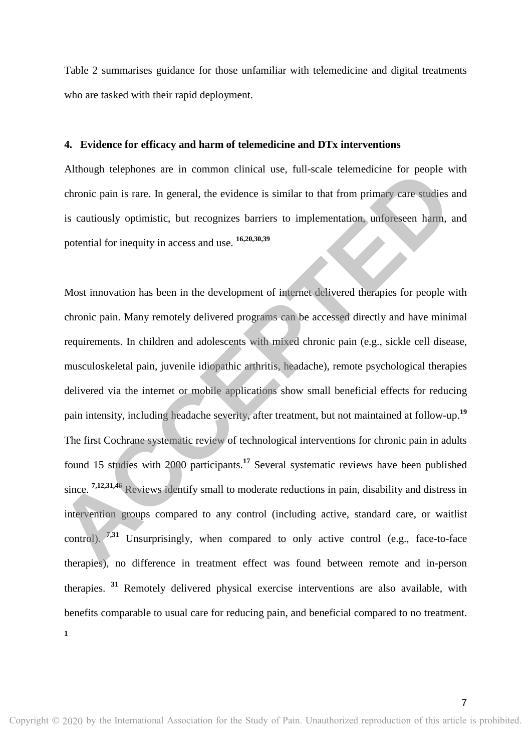Table 2 summarises guidance for those unfamiliar with telemedicine and digital treatments who are tasked with their rapid deployment.

#### **4. Evidence for efficacy and harm of telemedicine and DTx interventions**

Although telephones are in common clinical use, full-scale telemedicine for people with chronic pain is rare. In general, the evidence is similar to that from primary care studies and is cautiously optimistic, but recognizes barriers to implementation, unforeseen harm, and potential for inequity in access and use. **16,20,30,39**

Most innovation has been in the development of internet delivered therapies for people with chronic pain. Many remotely delivered programs can be accessed directly and have minimal requirements. In children and adolescents with mixed chronic pain (e.g., sickle cell disease, musculoskeletal pain, juvenile idiopathic arthritis, headache), remote psychological therapies delivered via the internet or mobile applications show small beneficial effects for reducing pain intensity, including headache severity, after treatment, but not maintained at follow-up.**<sup>19</sup>** The first Cochrane systematic review of technological interventions for chronic pain in adults found 15 studies with 2000 participants.**<sup>17</sup>** Several systematic reviews have been published since. **7,12,31,46** Reviews identify small to moderate reductions in pain, disability and distress in intervention groups compared to any control (including active, standard care, or waitlist control).<sup>7,31</sup> Unsurprisingly, when compared to only active control (e.g., face-to-face therapies), no difference in treatment effect was found between remote and in-person therapies. **<sup>31</sup>** Remotely delivered physical exercise interventions are also available, with benefits comparable to usual care for reducing pain, and beneficial compared to no treatment. Although telephones are in common clinical use, full-scale telemedicine for people with<br>chronic pain is rare. In general, the evidence is similar to that from primary care studies and<br>is cautionsly optimistic, but recogni

**1**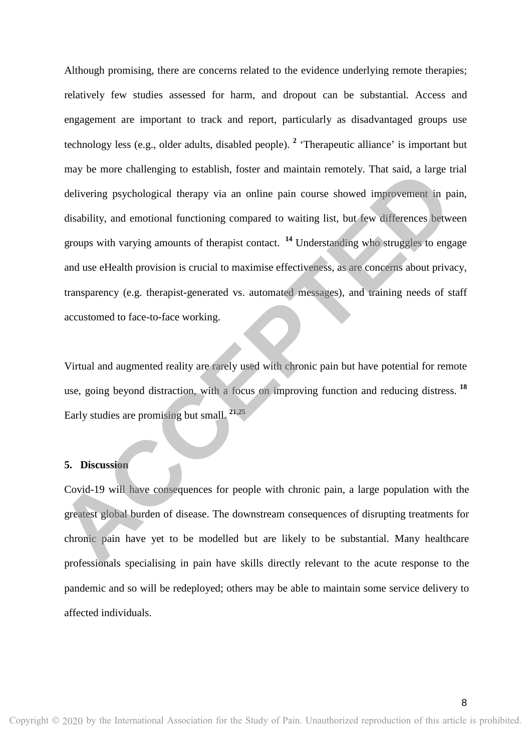Although promising, there are concerns related to the evidence underlying remote therapies; relatively few studies assessed for harm, and dropout can be substantial*.* Access and engagement are important to track and report, particularly as disadvantaged groups use technology less (e.g., older adults, disabled people). **<sup>2</sup>** 'Therapeutic alliance' is important but may be more challenging to establish, foster and maintain remotely. That said, a large trial delivering psychological therapy via an online pain course showed improvement in pain, disability, and emotional functioning compared to waiting list, but few differences between groups with varying amounts of therapist contact. **<sup>14</sup>** Understanding who struggles to engage and use eHealth provision is crucial to maximise effectiveness, as are concerns about privacy, transparency (e.g. therapist-generated vs. automated messages), and training needs of staff accustomed to face-to-face working. may be more challenging to establish, foster and maintain remotely. That said, a large trial<br>delivering psychological therapy via an online pain course showed improvement in pain,<br>disability, and emotional functioning comp

Virtual and augmented reality are rarely used with chronic pain but have potential for remote use, going beyond distraction, with a focus on improving function and reducing distress.**<sup>18</sup>** Early studies are promising but small. **21,25**

#### **5. Discussion**

Covid-19 will have consequences for people with chronic pain, a large population with the greatest global burden of disease. The downstream consequences of disrupting treatments for chronic pain have yet to be modelled but are likely to be substantial. Many healthcare professionals specialising in pain have skills directly relevant to the acute response to the pandemic and so will be redeployed; others may be able to maintain some service delivery to affected individuals.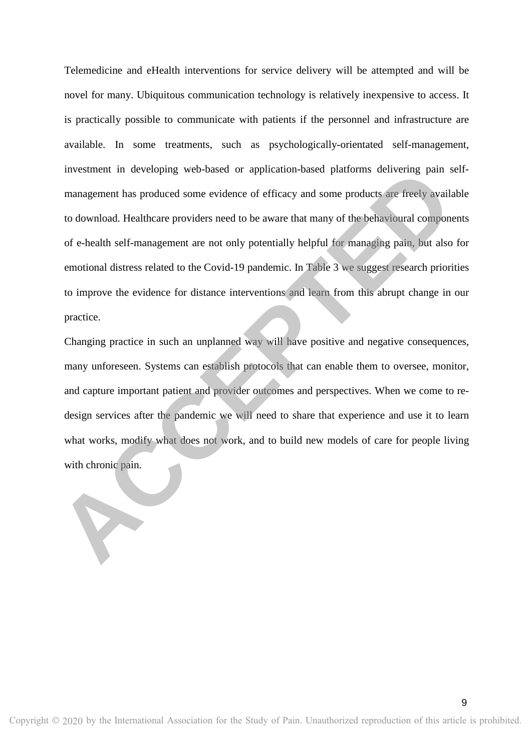Telemedicine and eHealth interventions for service delivery will be attempted and will be novel for many. Ubiquitous communication technology is relatively inexpensive to access. It is practically possible to communicate with patients if the personnel and infrastructure are available. In some treatments, such as psychologically-orientated self-management, investment in developing web-based or application-based platforms delivering pain selfmanagement has produced some evidence of efficacy and some products are freely available to download. Healthcare providers need to be aware that many of the behavioural components of e-health self-management are not only potentially helpful for managing pain, but also for emotional distress related to the Covid-19 pandemic. In Table 3 we suggest research priorities to improve the evidence for distance interventions and learn from this abrupt change in our practice. investment in developing web-based or application-based platforms delivering pain self-<br>management has produced some evidence of efficacy and some products are freely available<br>to download. Healthcare providers need to be

Changing practice in such an unplanned way will have positive and negative consequences, many unforeseen. Systems can establish protocols that can enable them to oversee, monitor, and capture important patient and provider outcomes and perspectives. When we come to redesign services after the pandemic we will need to share that experience and use it to learn what works, modify what does not work, and to build new models of care for people living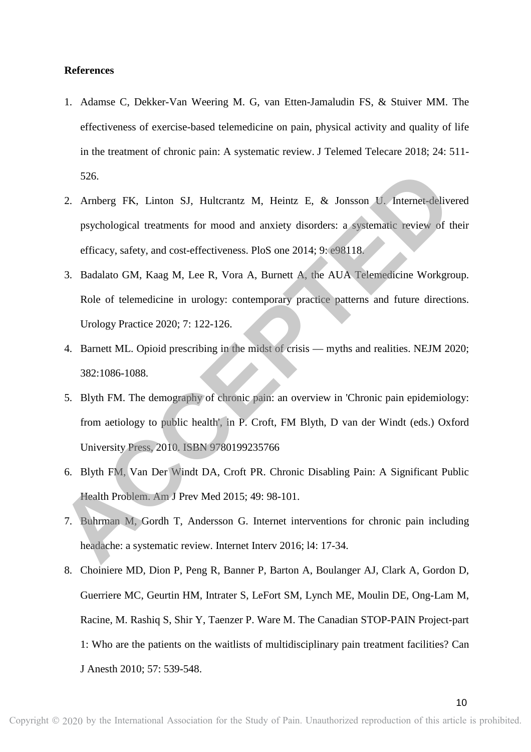#### **References**

- 1. Adamse C, Dekker-Van Weering M. G, van Etten-Jamaludin FS, & Stuiver MM. The effectiveness of exercise-based telemedicine on pain, physical activity and quality of life in the treatment of chronic pain: A systematic review. J Telemed Telecare 2018; 24: 511- 526.
- 2. Arnberg FK, Linton SJ, Hultcrantz M, Heintz E, & Jonsson U. Internet-delivered psychological treatments for mood and anxiety disorders: a systematic review of their efficacy, safety, and cost-effectiveness. PloS one 2014; 9: e98118. 526.<br>
2. Amberg FK, Linton SJ, Hultcrantz M, Heintz E, & Jonsson U. Internet-delivered<br>
psychological treatments for mood and anxiety disorders: a systematic review of their<br>
efficacy, safety, and cost-effectiveness. PloS
	- 3. Badalato GM, Kaag M, Lee R, Vora A, Burnett A, the AUA Telemedicine Workgroup. Role of telemedicine in urology: contemporary practice patterns and future directions. Urology Practice 2020; 7: 122-126.
	- 4. Barnett ML. Opioid prescribing in the midst of crisis myths and realities. NEJM 2020; 382:1086-1088.
	- 5. Blyth FM. The demography of chronic pain: an overview in 'Chronic pain epidemiology: from aetiology to public health', in P. Croft, FM Blyth, D van der Windt (eds.) Oxford University Press, 2010. ISBN 9780199235766
	- 6. Blyth FM, Van Der Windt DA, Croft PR. Chronic Disabling Pain: A Significant Public Health Problem. Am J Prev Med 2015; 49: 98-101.
	- 7. Buhrman M, Gordh T, Andersson G. Internet interventions for chronic pain including headache: a systematic review. Internet Interv 2016; l4: 17-34.
	- 8. Choiniere MD, Dion P, Peng R, Banner P, Barton A, Boulanger AJ, Clark A, Gordon D, Guerriere MC, Geurtin HM, Intrater S, LeFort SM, Lynch ME, Moulin DE, Ong-Lam M, Racine, M. Rashiq S, Shir Y, Taenzer P. Ware M. The Canadian STOP-PAIN Project-part 1: Who are the patients on the waitlists of multidisciplinary pain treatment facilities? Can J Anesth 2010; 57: 539-548.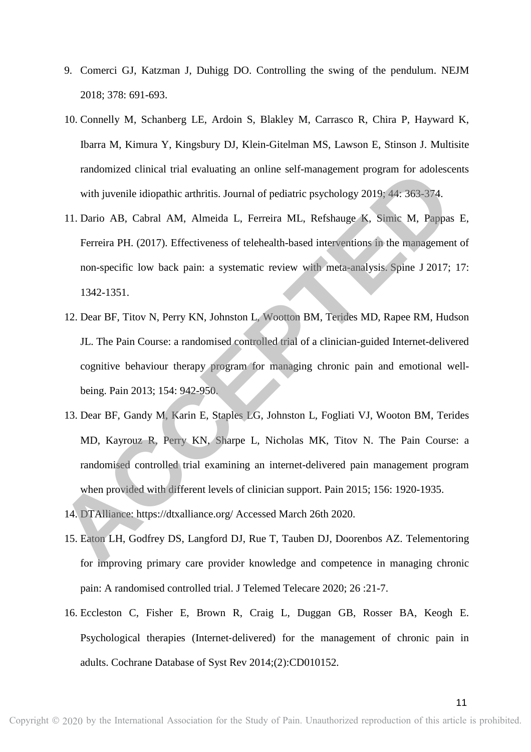- 9. Comerci GJ, Katzman J, Duhigg DO. Controlling the swing of the pendulum. NEJM 2018; 378: 691-693.
- 10. Connelly M, Schanberg LE, Ardoin S, Blakley M, Carrasco R, Chira P, Hayward K, Ibarra M, Kimura Y, Kingsbury DJ, Klein-Gitelman MS, Lawson E, Stinson J. Multisite randomized clinical trial evaluating an online self-management program for adolescents with juvenile idiopathic arthritis. Journal of pediatric psychology 2019; 44: 363-374.
- 11. Dario AB, Cabral AM, Almeida L, Ferreira ML, Refshauge K, Simic M, Pappas E, Ferreira PH. (2017). Effectiveness of telehealth-based interventions in the management of non-specific low back pain: a systematic review with meta-analysis. Spine J 2017; 17: 1342-1351.
- 12. Dear BF, Titov N, Perry KN, Johnston L, Wootton BM, Terides MD, Rapee RM, Hudson JL. The Pain Course: a randomised controlled trial of a clinician-guided Internet-delivered cognitive behaviour therapy program for managing chronic pain and emotional wellbeing. Pain 2013; 154: 942-950. randomized clinical trial evaluating an online self-management program for adolescents<br>with juvenile idiopathic arthritis. Journal of pediatric psychology 2019; 44: 363-374,<br>11. Dario AB, Cabral AM, Almeida L, Ferreira ML,
	- 13. Dear BF, Gandy M, Karin E, Staples LG, Johnston L, Fogliati VJ, Wooton BM, Terides MD, Kayrouz R, Perry KN, Sharpe L, Nicholas MK, Titov N. The Pain Course: a randomised controlled trial examining an internet-delivered pain management program when provided with different levels of clinician support. Pain 2015; 156: 1920-1935.
	- 14. DTAlliance: https://dtxalliance.org/ Accessed March 26th 2020.
	- 15. Eaton LH, Godfrey DS, Langford DJ, Rue T, Tauben DJ, Doorenbos AZ. Telementoring for improving primary care provider knowledge and competence in managing chronic pain: A randomised controlled trial. J Telemed Telecare 2020; 26 :21-7.
	- 16. Eccleston C, Fisher E, Brown R, Craig L, Duggan GB, Rosser BA, Keogh E. Psychological therapies (Internet‐delivered) for the management of chronic pain in adults. Cochrane Database of Syst Rev 2014;(2):CD010152.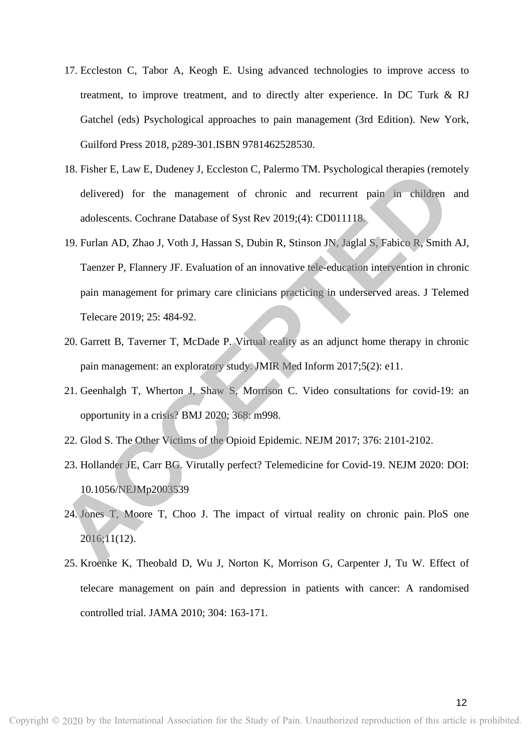- 17. Eccleston C, Tabor A, Keogh E. Using advanced technologies to improve access to treatment, to improve treatment, and to directly alter experience. In DC Turk & RJ Gatchel (eds) Psychological approaches to pain management (3rd Edition). New York, Guilford Press 2018, p289-301.ISBN 9781462528530.
- 18. Fisher E, Law E, Dudeney J, Eccleston C, Palermo TM. Psychological therapies (remotely delivered) for the management of chronic and recurrent pain in children and adolescents. Cochrane Database of Syst Rev 2019;(4): CD011118.
- 19. Furlan AD, Zhao J, Voth J, Hassan S, Dubin R, Stinson JN, Jaglal S, Fabico R, Smith AJ, Taenzer P, Flannery JF. Evaluation of an innovative tele-education intervention in chronic pain management for primary care clinicians practicing in underserved areas. J Telemed Telecare 2019; 25: 484-92. 18. Fisher E, Law E, Dudeney J, Ecclesion C, Palermo TM. Psychological therapies (remotely<br>delivered) for the management of chronic and recurrent pain in children and<br>adolescents. Cochrane Database of Syst Rev 2019;(4): CD
	- 20. Garrett B, Taverner T, McDade P. Virtual reality as an adjunct home therapy in chronic pain management: an exploratory study. JMIR Med Inform 2017;5(2): e11.
	- 21. Geenhalgh T, Wherton J, Shaw S, Morrison C. Video consultations for covid-19: an opportunity in a crisis? BMJ 2020; 368: m998.
	- 22. Glod S. The Other Victims of the Opioid Epidemic. NEJM 2017; 376: 2101-2102.
	- 23. Hollander JE, Carr BG. Virutally perfect? Telemedicine for Covid-19. NEJM 2020: DOI: 10.1056/NEJMp2003539
	- 24. Jones T, Moore T, Choo J. The impact of virtual reality on chronic pain. PloS one 2016;11(12).
	- 25. Kroenke K, Theobald D, Wu J, Norton K, Morrison G, Carpenter J, Tu W. Effect of telecare management on pain and depression in patients with cancer: A randomised controlled trial. JAMA 2010; 304: 163-171.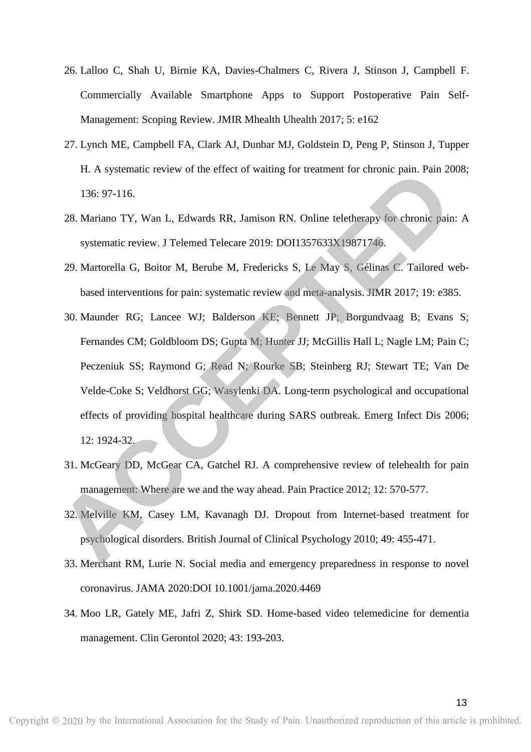- 26. Lalloo C, Shah U, Birnie KA, Davies-Chalmers C, Rivera J, Stinson J, Campbell F. Commercially Available Smartphone Apps to Support Postoperative Pain Self-Management: Scoping Review. JMIR Mhealth Uhealth 2017; 5: e162
- 27. Lynch ME, Campbell FA, Clark AJ, Dunbar MJ, Goldstein D, Peng P, Stinson J, Tupper H. A systematic review of the effect of waiting for treatment for chronic pain. Pain 2008; 136: 97-116.
- 28. Mariano TY, Wan L, Edwards RR, Jamison RN. Online teletherapy for chronic pain: A systematic review. J Telemed Telecare 2019: DOI1357633X19871746.
- 29. Martorella G, Boitor M, Berube M, Fredericks S, Le May S, Gélinas C. Tailored webbased interventions for pain: systematic review and meta-analysis. JIMR 2017; 19: e385.
- 30. Maunder RG; Lancee WJ; Balderson KE; Bennett JP; Borgundvaag B; Evans S; Fernandes CM; Goldbloom DS; Gupta M; Hunter JJ; McGillis Hall L; Nagle LM; Pain C; Peczeniuk SS; Raymond G; Read N; Rourke SB; Steinberg RJ; Stewart TE; Van De Velde-Coke S; Veldhorst GG; Wasylenki DA. Long-term psychological and occupational effects of providing hospital healthcare during SARS outbreak. Emerg Infect Dis 2006; 12: 1924-32. H. A systematic review of the effect of waiting for treatment for chronic pain. Pain 2008;<br>
136: 97-116.<br>
28. Mariano TY, Wan L, Edwards RR, Jamison RN. Online teletherapy for chronic pain: A<br>
systematic review. J Telemed
	- 31. McGeary DD, McGear CA, Gatchel RJ. A comprehensive review of telehealth for pain management: Where are we and the way ahead. Pain Practice 2012; 12: 570-577.
	- 32. Melville KM, Casey LM, Kavanagh DJ. Dropout from Internet‐based treatment for psychological disorders. British Journal of Clinical Psychology 2010; 49: 455-471.
	- 33. Merchant RM, Lurie N. Social media and emergency preparedness in response to novel coronavirus. JAMA 2020:DOI 10.1001/jama.2020.4469
	- 34. Moo LR, Gately ME, Jafri Z, Shirk SD. Home-based video telemedicine for dementia management. Clin Gerontol 2020; 43: 193-203.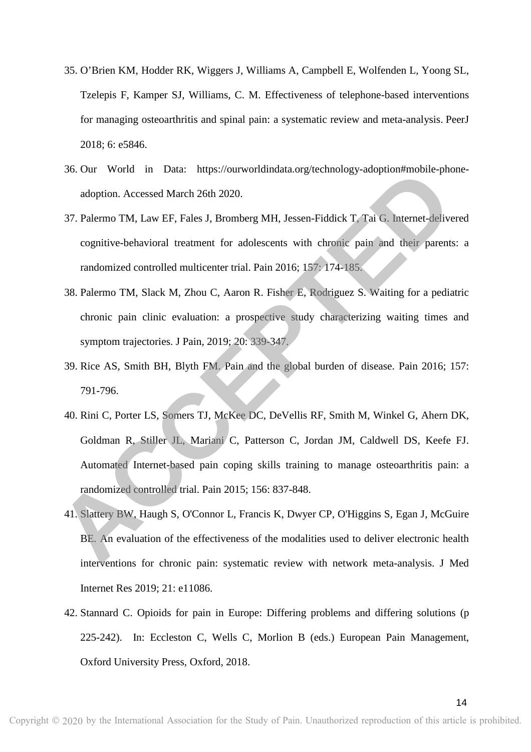- 35. O'Brien KM, Hodder RK, Wiggers J, Williams A, Campbell E, Wolfenden L, Yoong SL, Tzelepis F, Kamper SJ, Williams, C. M. Effectiveness of telephone-based interventions for managing osteoarthritis and spinal pain: a systematic review and meta-analysis. PeerJ 2018; 6: e5846.
- 36. Our World in Data: https://ourworldindata.org/technology-adoption#mobile-phoneadoption. Accessed March 26th 2020.
- 37. Palermo TM, Law EF, Fales J, Bromberg MH, Jessen-Fiddick T, Tai G. Internet-delivered cognitive-behavioral treatment for adolescents with chronic pain and their parents: a randomized controlled multicenter trial. Pain 2016; 157: 174-185.
- 38. Palermo TM, Slack M, Zhou C, Aaron R. Fisher E, Rodriguez S. Waiting for a pediatric chronic pain clinic evaluation: a prospective study characterizing waiting times and symptom trajectories. J Pain, 2019; 20: 339-347.
- 39. Rice AS, Smith BH, Blyth FM. Pain and the global burden of disease. Pain 2016; 157: 791-796.
- 40. Rini C, Porter LS, Somers TJ, McKee DC, DeVellis RF, Smith M, Winkel G, Ahern DK, Goldman R, Stiller JL, Mariani C, Patterson C, Jordan JM, Caldwell DS, Keefe FJ. Automated Internet-based pain coping skills training to manage osteoarthritis pain: a randomized controlled trial. Pain 2015; 156: 837-848. 36. Our World in Data: https://ourworldindata.org/technology-adoption#nobile-phone-<br>adoption. Accessed March 26th 2020.<br>
37. Palermo TM, Law EF, Fales J, Bromberg MH, Jessen-Fiddick T. Tai G, Internet-delivered<br>
cognitive-
	- 41. Slattery BW, Haugh S, O'Connor L, Francis K, Dwyer CP, O'Higgins S, Egan J, McGuire BE. An evaluation of the effectiveness of the modalities used to deliver electronic health interventions for chronic pain: systematic review with network meta-analysis. J Med Internet Res 2019; 21: e11086.
	- 42. Stannard C. Opioids for pain in Europe: Differing problems and differing solutions (p 225-242). In: Eccleston C, Wells C, Morlion B (eds.) European Pain Management, Oxford University Press, Oxford, 2018.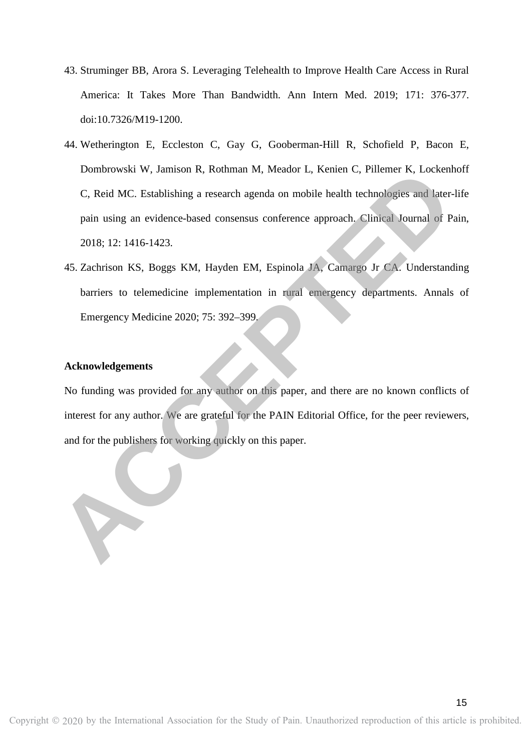- 43. Struminger BB, Arora S. Leveraging Telehealth to Improve Health Care Access in Rural America: It Takes More Than Bandwidth. Ann Intern Med. 2019; 171: 376-377. doi:10.7326/M19-1200.
- 44. Wetherington E, Eccleston C, Gay G, Gooberman-Hill R, Schofield P, Bacon E, Dombrowski W, Jamison R, Rothman M, Meador L, Kenien C, Pillemer K, Lockenhoff C, Reid MC. Establishing a research agenda on mobile health technologies and later-life pain using an evidence-based consensus conference approach. Clinical Journal of Pain, 2018; 12: 1416-1423. Dombrowski W, Jamison R, Rothman M, Meador L, Kenien C, Pillemer K, Lockenhoff<br>
C, Reid MC. Establishing a research agenda on mobile health technologies and later-life<br>
pain using an evidence-based consensus conference app
	- 45. Zachrison KS, Boggs KM, Hayden EM, Espinola JA, Camargo Jr CA. Understanding barriers to telemedicine implementation in rural emergency departments. Annals of Emergency Medicine 2020; 75: 392–399.

### **Acknowledgements**

No funding was provided for any author on this paper, and there are no known conflicts of interest for any author. We are grateful for the PAIN Editorial Office, for the peer reviewers, and for the publishers for working quickly on this paper.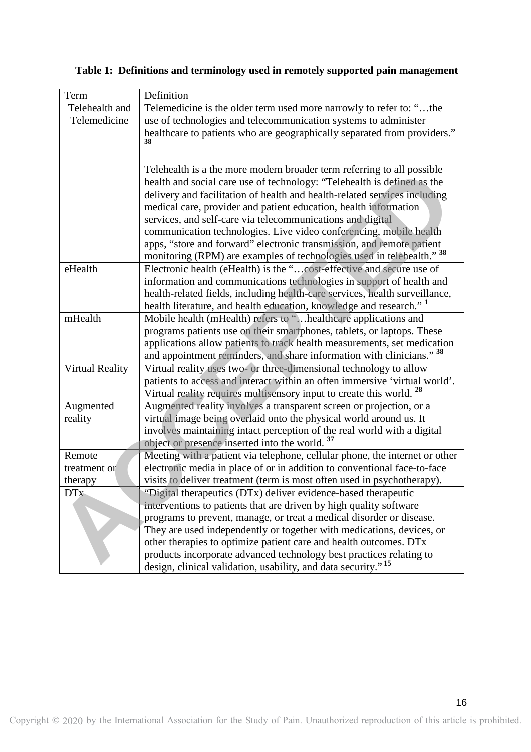| Table 1: Definitions and terminology used in remotely supported pain management |  |  |
|---------------------------------------------------------------------------------|--|--|
|                                                                                 |  |  |

| Term            | Definition                                                                      |  |  |  |
|-----------------|---------------------------------------------------------------------------------|--|--|--|
| Telehealth and  | Telemedicine is the older term used more narrowly to refer to: "the             |  |  |  |
| Telemedicine    | use of technologies and telecommunication systems to administer                 |  |  |  |
|                 | healthcare to patients who are geographically separated from providers."        |  |  |  |
|                 | 38                                                                              |  |  |  |
|                 |                                                                                 |  |  |  |
|                 | Telehealth is a the more modern broader term referring to all possible          |  |  |  |
|                 | health and social care use of technology: "Telehealth is defined as the         |  |  |  |
|                 | delivery and facilitation of health and health-related services including       |  |  |  |
|                 | medical care, provider and patient education, health information                |  |  |  |
|                 | services, and self-care via telecommunications and digital                      |  |  |  |
|                 | communication technologies. Live video conferencing, mobile health              |  |  |  |
|                 | apps, "store and forward" electronic transmission, and remote patient           |  |  |  |
|                 | monitoring (RPM) are examples of technologies used in telehealth." 38           |  |  |  |
| eHealth         | Electronic health (eHealth) is the "cost-effective and secure use of            |  |  |  |
|                 | information and communications technologies in support of health and            |  |  |  |
|                 | health-related fields, including health-care services, health surveillance,     |  |  |  |
|                 | health literature, and health education, knowledge and research." <sup>1</sup>  |  |  |  |
| mHealth         | Mobile health (mHealth) refers to "healthcare applications and                  |  |  |  |
|                 | programs patients use on their smartphones, tablets, or laptops. These          |  |  |  |
|                 | applications allow patients to track health measurements, set medication        |  |  |  |
|                 | and appointment reminders, and share information with clinicians." 38           |  |  |  |
| Virtual Reality | Virtual reality uses two- or three-dimensional technology to allow              |  |  |  |
|                 | patients to access and interact within an often immersive 'virtual world'.      |  |  |  |
|                 | Virtual reality requires multisensory input to create this world. <sup>28</sup> |  |  |  |
| Augmented       | Augmented reality involves a transparent screen or projection, or a             |  |  |  |
| reality         | virtual image being overlaid onto the physical world around us. It              |  |  |  |
|                 | involves maintaining intact perception of the real world with a digital         |  |  |  |
|                 | object or presence inserted into the world.                                     |  |  |  |
| Remote          | Meeting with a patient via telephone, cellular phone, the internet or other     |  |  |  |
| treatment or    | electronic media in place of or in addition to conventional face-to-face        |  |  |  |
| therapy         | visits to deliver treatment (term is most often used in psychotherapy).         |  |  |  |
| <b>DTx</b>      | "Digital therapeutics (DTx) deliver evidence-based therapeutic                  |  |  |  |
|                 | interventions to patients that are driven by high quality software              |  |  |  |
|                 | programs to prevent, manage, or treat a medical disorder or disease.            |  |  |  |
|                 | They are used independently or together with medications, devices, or           |  |  |  |
|                 | other therapies to optimize patient care and health outcomes. DTx               |  |  |  |
|                 | products incorporate advanced technology best practices relating to             |  |  |  |
|                 | design, clinical validation, usability, and data security." <sup>15</sup>       |  |  |  |

16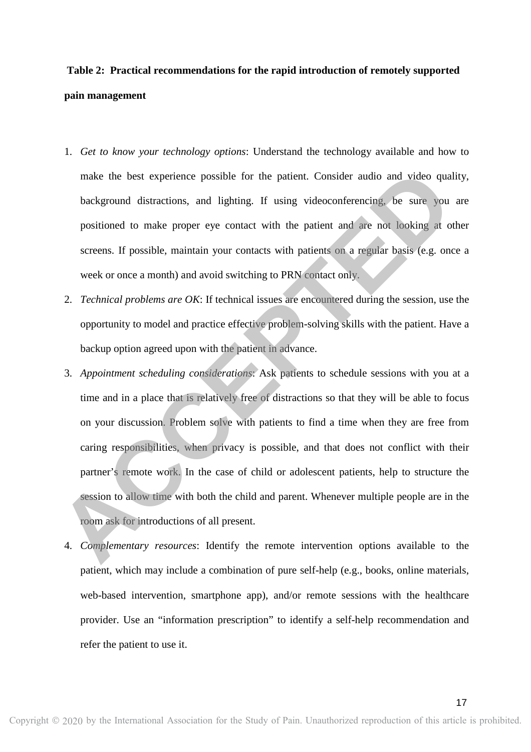## **Table 2: Practical recommendations for the rapid introduction of remotely supported pain management**

- 1. *Get to know your technology options*: Understand the technology available and how to make the best experience possible for the patient. Consider audio and video quality, background distractions, and lighting. If using videoconferencing, be sure you are positioned to make proper eye contact with the patient and are not looking at other screens. If possible, maintain your contacts with patients on a regular basis (e.g. once a week or once a month) and avoid switching to PRN contact only.
- 2. *Technical problems are OK*: If technical issues are encountered during the session, use the opportunity to model and practice effective problem-solving skills with the patient. Have a backup option agreed upon with the patient in advance.
- 3. *Appointment scheduling considerations*: Ask patients to schedule sessions with you at a time and in a place that is relatively free of distractions so that they will be able to focus on your discussion. Problem solve with patients to find a time when they are free from caring responsibilities, when privacy is possible, and that does not conflict with their partner's remote work. In the case of child or adolescent patients, help to structure the session to allow time with both the child and parent. Whenever multiple people are in the room ask for introductions of all present. make the best experience possible for the patient. Consider audio and video quality,<br>background distractions, and lighting. If using videoconferencing, be sure you are<br>positioned to make proper eye contact with the patient
	- 4. *Complementary resources*: Identify the remote intervention options available to the patient, which may include a combination of pure self-help (e.g., books, online materials, web-based intervention, smartphone app), and/or remote sessions with the healthcare provider. Use an "information prescription" to identify a self-help recommendation and refer the patient to use it.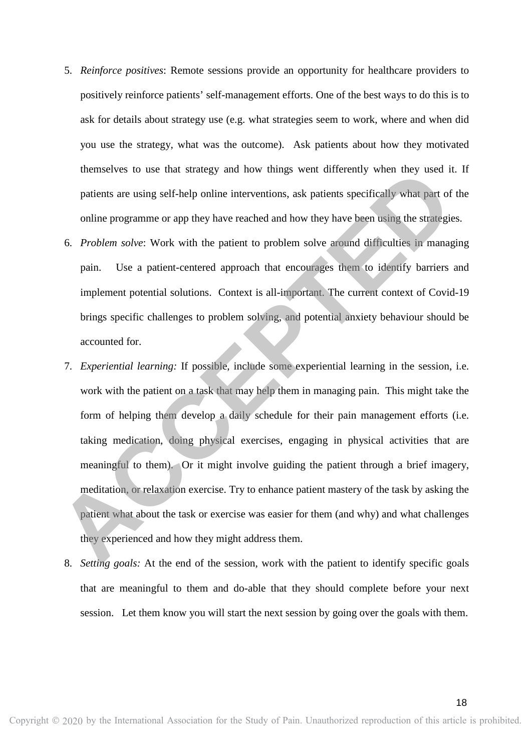- 5. *Reinforce positives*: Remote sessions provide an opportunity for healthcare providers to positively reinforce patients' self-management efforts. One of the best ways to do this is to ask for details about strategy use (e.g. what strategies seem to work, where and when did you use the strategy, what was the outcome). Ask patients about how they motivated themselves to use that strategy and how things went differently when they used it. If patients are using self-help online interventions, ask patients specifically what part of the online programme or app they have reached and how they have been using the strategies.
- 6. *Problem solve*: Work with the patient to problem solve around difficulties in managing pain. Use a patient-centered approach that encourages them to identify barriers and implement potential solutions. Context is all-important. The current context of Covid-19 brings specific challenges to problem solving, and potential anxiety behaviour should be accounted for.
- 7. *Experiential learning:* If possible, include some experiential learning in the session, i.e. work with the patient on a task that may help them in managing pain. This might take the form of helping them develop a daily schedule for their pain management efforts (i.e. taking medication, doing physical exercises, engaging in physical activities that are meaningful to them). Or it might involve guiding the patient through a brief imagery, meditation, or relaxation exercise. Try to enhance patient mastery of the task by asking the patient what about the task or exercise was easier for them (and why) and what challenges they experienced and how they might address them. themselves to use that strategy and how things went differently when they used it. If<br>patients are using self-help online interventions, ask patients specifically what pat of the<br>online programme or app they have reached a
	- 8. *Setting goals:* At the end of the session, work with the patient to identify specific goals that are meaningful to them and do-able that they should complete before your next session. Let them know you will start the next session by going over the goals with them.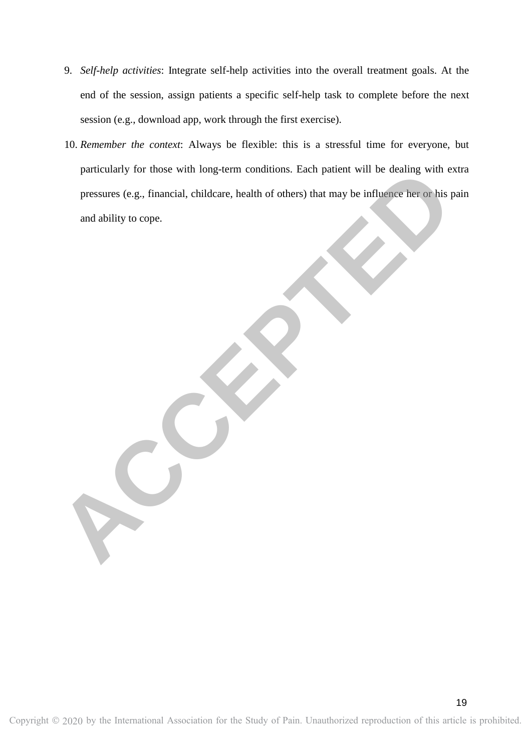- 9. *Self-help activities*: Integrate self-help activities into the overall treatment goals. At the end of the session, assign patients a specific self-help task to complete before the next session (e.g., download app, work through the first exercise).
- 10. *Remember the context*: Always be flexible: this is a stressful time for everyone, but particularly for those with long-term conditions. Each patient will be dealing with extra pressures (e.g., financial, childcare, health of others) that may be influence her or his pain and ability to cope. particularly for those with long-term conditions. Each patient will be dealing with extra<br>pressures (e.g., financial, childcare, health of others) that may be influence her or his pain<br>and ability to cope.

19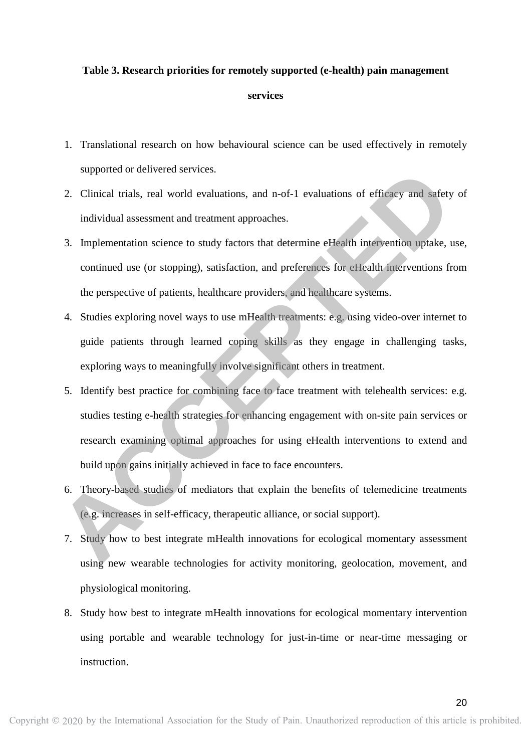# **Table 3. Research priorities for remotely supported (e-health) pain management services**

- 1. Translational research on how behavioural science can be used effectively in remotely supported or delivered services.
- 2. Clinical trials, real world evaluations, and n-of-1 evaluations of efficacy and safety of individual assessment and treatment approaches.
- 3. Implementation science to study factors that determine eHealth intervention uptake, use, continued use (or stopping), satisfaction, and preferences for eHealth interventions from the perspective of patients, healthcare providers, and healthcare systems.
- 4. Studies exploring novel ways to use mHealth treatments: e.g. using video-over internet to guide patients through learned coping skills as they engage in challenging tasks, exploring ways to meaningfully involve significant others in treatment.
- 5. Identify best practice for combining face to face treatment with telehealth services: e.g. studies testing e-health strategies for enhancing engagement with on-site pain services or research examining optimal approaches for using eHealth interventions to extend and build upon gains initially achieved in face to face encounters. supported or delivered services.<br>
2. Clinical trials, real world evaluations, and n-of-1 evaluations of efficacy and safety of<br>
individual assessment and treatment approaches.<br>
3. Implementation science to study factors th
	- 6. Theory-based studies of mediators that explain the benefits of telemedicine treatments (e.g. increases in self-efficacy, therapeutic alliance, or social support).
	- 7. Study how to best integrate mHealth innovations for ecological momentary assessment using new wearable technologies for activity monitoring, geolocation, movement, and physiological monitoring.
	- 8. Study how best to integrate mHealth innovations for ecological momentary intervention using portable and wearable technology for just-in-time or near-time messaging or instruction.